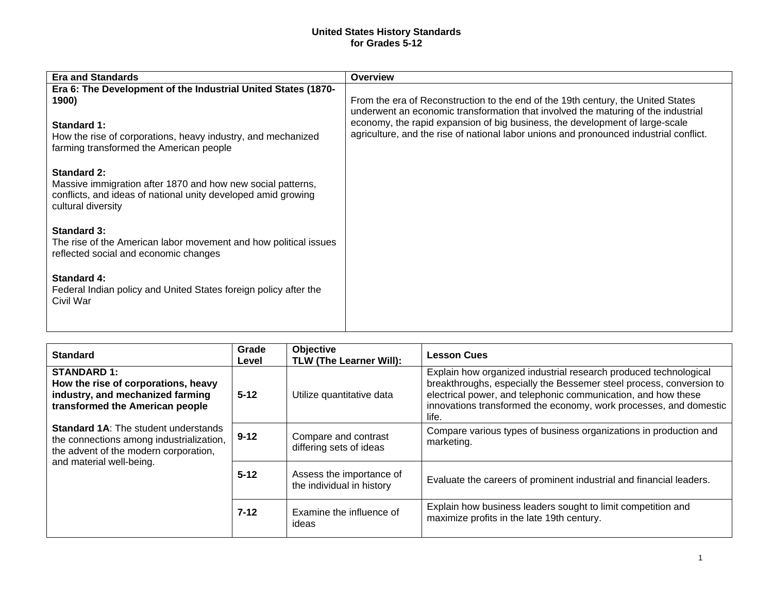## **United States History Standards for Grades 5-12**

| <b>Era and Standards</b>                                                                                                                                                                         | <b>Overview</b>                                                                                                                                                                                                                                                                                                                                 |
|--------------------------------------------------------------------------------------------------------------------------------------------------------------------------------------------------|-------------------------------------------------------------------------------------------------------------------------------------------------------------------------------------------------------------------------------------------------------------------------------------------------------------------------------------------------|
| Era 6: The Development of the Industrial United States (1870-<br>1900)<br>Standard 1:<br>How the rise of corporations, heavy industry, and mechanized<br>farming transformed the American people | From the era of Reconstruction to the end of the 19th century, the United States<br>underwent an economic transformation that involved the maturing of the industrial<br>economy, the rapid expansion of big business, the development of large-scale<br>agriculture, and the rise of national labor unions and pronounced industrial conflict. |
| <b>Standard 2:</b><br>Massive immigration after 1870 and how new social patterns,<br>conflicts, and ideas of national unity developed amid growing<br>cultural diversity                         |                                                                                                                                                                                                                                                                                                                                                 |
| <b>Standard 3:</b><br>The rise of the American labor movement and how political issues<br>reflected social and economic changes                                                                  |                                                                                                                                                                                                                                                                                                                                                 |
| Standard 4:<br>Federal Indian policy and United States foreign policy after the<br>Civil War                                                                                                     |                                                                                                                                                                                                                                                                                                                                                 |

| <b>Standard</b>                                                                                                                  | Grade<br>Level | <b>Objective</b><br>TLW (The Learner Will):           | <b>Lesson Cues</b>                                                                                                                                                                                                                                                                     |
|----------------------------------------------------------------------------------------------------------------------------------|----------------|-------------------------------------------------------|----------------------------------------------------------------------------------------------------------------------------------------------------------------------------------------------------------------------------------------------------------------------------------------|
| <b>STANDARD 1:</b><br>How the rise of corporations, heavy<br>industry, and mechanized farming<br>transformed the American people | $5 - 12$       | Utilize quantitative data                             | Explain how organized industrial research produced technological<br>breakthroughs, especially the Bessemer steel process, conversion to<br>electrical power, and telephonic communication, and how these<br>innovations transformed the economy, work processes, and domestic<br>life. |
| <b>Standard 1A: The student understands</b><br>the connections among industrialization,<br>the advent of the modern corporation, | $9 - 12$       | Compare and contrast<br>differing sets of ideas       | Compare various types of business organizations in production and<br>marketing.                                                                                                                                                                                                        |
| and material well-being.                                                                                                         | $5 - 12$       | Assess the importance of<br>the individual in history | Evaluate the careers of prominent industrial and financial leaders.                                                                                                                                                                                                                    |
|                                                                                                                                  | $7-12$         | Examine the influence of<br>ideas                     | Explain how business leaders sought to limit competition and<br>maximize profits in the late 19th century.                                                                                                                                                                             |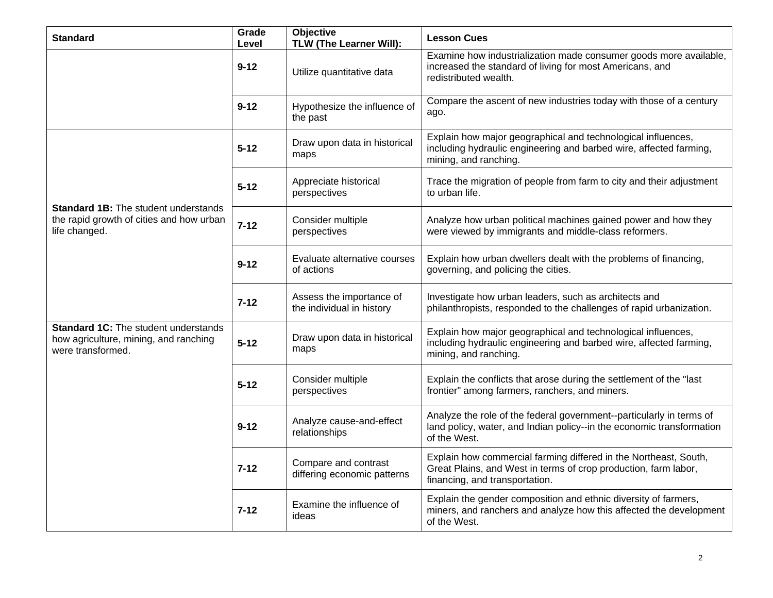| <b>Standard</b>                                                                                           | Grade<br>Level | <b>Objective</b><br>TLW (The Learner Will):           | <b>Lesson Cues</b>                                                                                                                                                    |
|-----------------------------------------------------------------------------------------------------------|----------------|-------------------------------------------------------|-----------------------------------------------------------------------------------------------------------------------------------------------------------------------|
|                                                                                                           | $9 - 12$       | Utilize quantitative data                             | Examine how industrialization made consumer goods more available,<br>increased the standard of living for most Americans, and<br>redistributed wealth.                |
|                                                                                                           | $9 - 12$       | Hypothesize the influence of<br>the past              | Compare the ascent of new industries today with those of a century<br>ago.                                                                                            |
|                                                                                                           | $5 - 12$       | Draw upon data in historical<br>maps                  | Explain how major geographical and technological influences,<br>including hydraulic engineering and barbed wire, affected farming,<br>mining, and ranching.           |
|                                                                                                           | $5 - 12$       | Appreciate historical<br>perspectives                 | Trace the migration of people from farm to city and their adjustment<br>to urban life.                                                                                |
| <b>Standard 1B:</b> The student understands<br>the rapid growth of cities and how urban<br>life changed.  | $7 - 12$       | Consider multiple<br>perspectives                     | Analyze how urban political machines gained power and how they<br>were viewed by immigrants and middle-class reformers.                                               |
|                                                                                                           | $9 - 12$       | Evaluate alternative courses<br>of actions            | Explain how urban dwellers dealt with the problems of financing,<br>governing, and policing the cities.                                                               |
|                                                                                                           | $7 - 12$       | Assess the importance of<br>the individual in history | Investigate how urban leaders, such as architects and<br>philanthropists, responded to the challenges of rapid urbanization.                                          |
| <b>Standard 1C:</b> The student understands<br>how agriculture, mining, and ranching<br>were transformed. | $5 - 12$       | Draw upon data in historical<br>maps                  | Explain how major geographical and technological influences,<br>including hydraulic engineering and barbed wire, affected farming,<br>mining, and ranching.           |
|                                                                                                           | $5 - 12$       | Consider multiple<br>perspectives                     | Explain the conflicts that arose during the settlement of the "last<br>frontier" among farmers, ranchers, and miners.                                                 |
|                                                                                                           | $9 - 12$       | Analyze cause-and-effect<br>relationships             | Analyze the role of the federal government--particularly in terms of<br>land policy, water, and Indian policy--in the economic transformation<br>of the West.         |
|                                                                                                           | $7 - 12$       | Compare and contrast<br>differing economic patterns   | Explain how commercial farming differed in the Northeast, South,<br>Great Plains, and West in terms of crop production, farm labor,<br>financing, and transportation. |
|                                                                                                           | $7 - 12$       | Examine the influence of<br>ideas                     | Explain the gender composition and ethnic diversity of farmers,<br>miners, and ranchers and analyze how this affected the development<br>of the West.                 |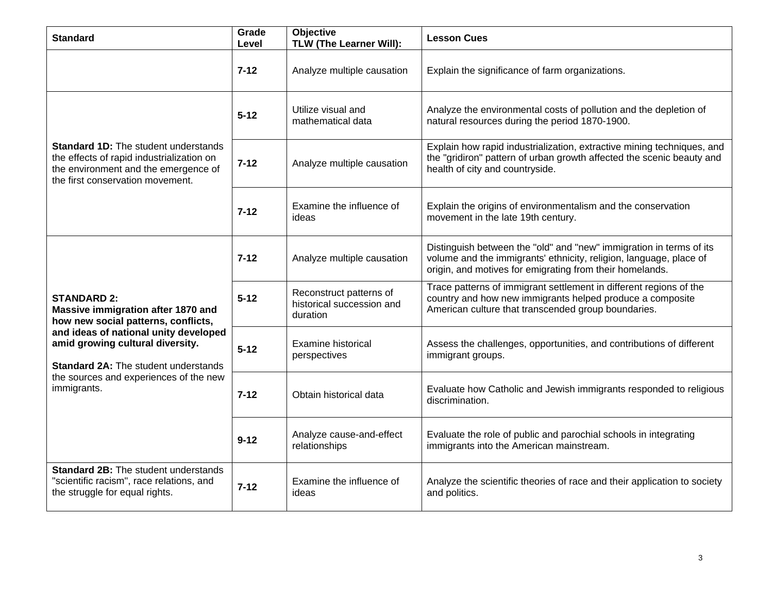| <b>Standard</b>                                                                                                                                                                                                                                                                      | Grade<br>Level | <b>Objective</b><br><b>TLW (The Learner Will):</b>               | <b>Lesson Cues</b>                                                                                                                                                                                    |
|--------------------------------------------------------------------------------------------------------------------------------------------------------------------------------------------------------------------------------------------------------------------------------------|----------------|------------------------------------------------------------------|-------------------------------------------------------------------------------------------------------------------------------------------------------------------------------------------------------|
|                                                                                                                                                                                                                                                                                      | $7 - 12$       | Analyze multiple causation                                       | Explain the significance of farm organizations.                                                                                                                                                       |
| <b>Standard 1D:</b> The student understands<br>the effects of rapid industrialization on<br>the environment and the emergence of<br>the first conservation movement.                                                                                                                 | $5 - 12$       | Utilize visual and<br>mathematical data                          | Analyze the environmental costs of pollution and the depletion of<br>natural resources during the period 1870-1900.                                                                                   |
|                                                                                                                                                                                                                                                                                      | $7 - 12$       | Analyze multiple causation                                       | Explain how rapid industrialization, extractive mining techniques, and<br>the "gridiron" pattern of urban growth affected the scenic beauty and<br>health of city and countryside.                    |
|                                                                                                                                                                                                                                                                                      | $7 - 12$       | Examine the influence of<br>ideas                                | Explain the origins of environmentalism and the conservation<br>movement in the late 19th century.                                                                                                    |
| <b>STANDARD 2:</b><br>Massive immigration after 1870 and<br>how new social patterns, conflicts,<br>and ideas of national unity developed<br>amid growing cultural diversity.<br><b>Standard 2A: The student understands</b><br>the sources and experiences of the new<br>immigrants. | $7 - 12$       | Analyze multiple causation                                       | Distinguish between the "old" and "new" immigration in terms of its<br>volume and the immigrants' ethnicity, religion, language, place of<br>origin, and motives for emigrating from their homelands. |
|                                                                                                                                                                                                                                                                                      | $5 - 12$       | Reconstruct patterns of<br>historical succession and<br>duration | Trace patterns of immigrant settlement in different regions of the<br>country and how new immigrants helped produce a composite<br>American culture that transcended group boundaries.                |
|                                                                                                                                                                                                                                                                                      | $5 - 12$       | <b>Examine historical</b><br>perspectives                        | Assess the challenges, opportunities, and contributions of different<br>immigrant groups.                                                                                                             |
|                                                                                                                                                                                                                                                                                      | $7 - 12$       | Obtain historical data                                           | Evaluate how Catholic and Jewish immigrants responded to religious<br>discrimination.                                                                                                                 |
|                                                                                                                                                                                                                                                                                      | $9 - 12$       | Analyze cause-and-effect<br>relationships                        | Evaluate the role of public and parochial schools in integrating<br>immigrants into the American mainstream.                                                                                          |
| <b>Standard 2B:</b> The student understands<br>"scientific racism", race relations, and<br>the struggle for equal rights.                                                                                                                                                            | $7 - 12$       | Examine the influence of<br>ideas                                | Analyze the scientific theories of race and their application to society<br>and politics.                                                                                                             |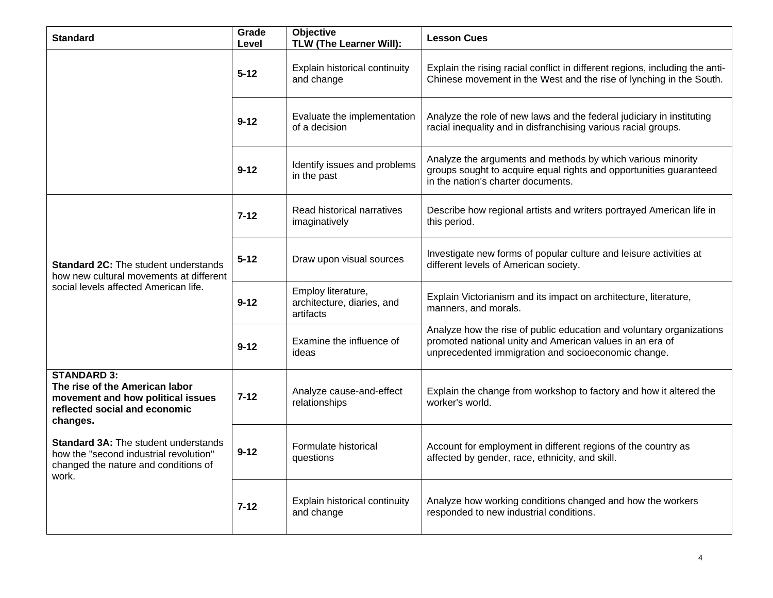| <b>Standard</b>                                                                                                                        | Grade<br>Level | Objective<br>TLW (The Learner Will):                          | <b>Lesson Cues</b>                                                                                                                                                                      |
|----------------------------------------------------------------------------------------------------------------------------------------|----------------|---------------------------------------------------------------|-----------------------------------------------------------------------------------------------------------------------------------------------------------------------------------------|
|                                                                                                                                        | $5 - 12$       | Explain historical continuity<br>and change                   | Explain the rising racial conflict in different regions, including the anti-<br>Chinese movement in the West and the rise of lynching in the South.                                     |
|                                                                                                                                        | $9 - 12$       | Evaluate the implementation<br>of a decision                  | Analyze the role of new laws and the federal judiciary in instituting<br>racial inequality and in disfranchising various racial groups.                                                 |
|                                                                                                                                        | $9 - 12$       | Identify issues and problems<br>in the past                   | Analyze the arguments and methods by which various minority<br>groups sought to acquire equal rights and opportunities guaranteed<br>in the nation's charter documents.                 |
| <b>Standard 2C:</b> The student understands<br>how new cultural movements at different<br>social levels affected American life.        | $7 - 12$       | Read historical narratives<br>imaginatively                   | Describe how regional artists and writers portrayed American life in<br>this period.                                                                                                    |
|                                                                                                                                        | $5 - 12$       | Draw upon visual sources                                      | Investigate new forms of popular culture and leisure activities at<br>different levels of American society.                                                                             |
|                                                                                                                                        | $9 - 12$       | Employ literature,<br>architecture, diaries, and<br>artifacts | Explain Victorianism and its impact on architecture, literature,<br>manners, and morals.                                                                                                |
|                                                                                                                                        | $9 - 12$       | Examine the influence of<br>ideas                             | Analyze how the rise of public education and voluntary organizations<br>promoted national unity and American values in an era of<br>unprecedented immigration and socioeconomic change. |
| <b>STANDARD 3:</b><br>The rise of the American labor<br>movement and how political issues<br>reflected social and economic<br>changes. | $7 - 12$       | Analyze cause-and-effect<br>relationships                     | Explain the change from workshop to factory and how it altered the<br>worker's world.                                                                                                   |
| <b>Standard 3A: The student understands</b><br>how the "second industrial revolution"<br>changed the nature and conditions of<br>work. | $9 - 12$       | Formulate historical<br>questions                             | Account for employment in different regions of the country as<br>affected by gender, race, ethnicity, and skill.                                                                        |
|                                                                                                                                        | $7 - 12$       | Explain historical continuity<br>and change                   | Analyze how working conditions changed and how the workers<br>responded to new industrial conditions.                                                                                   |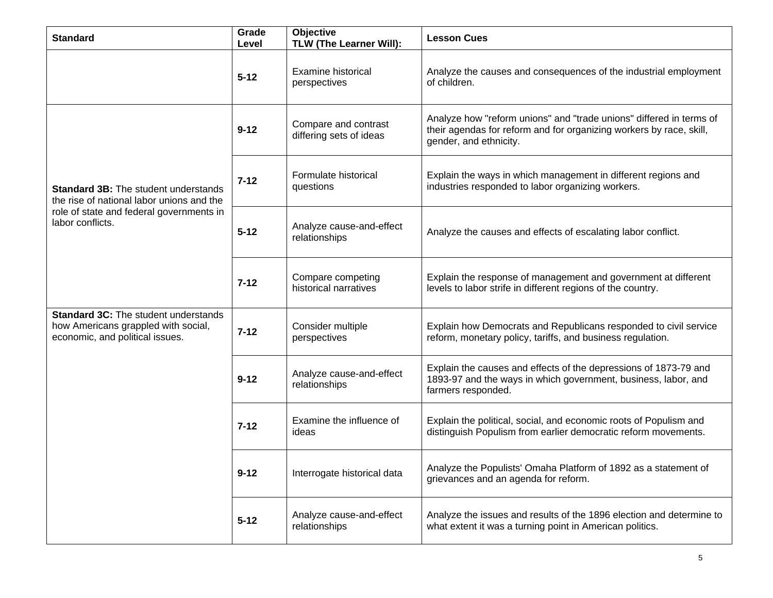| <b>Standard</b>                                                                                                                                          | Grade<br>Level | Objective<br>TLW (The Learner Will):            | <b>Lesson Cues</b>                                                                                                                                                   |
|----------------------------------------------------------------------------------------------------------------------------------------------------------|----------------|-------------------------------------------------|----------------------------------------------------------------------------------------------------------------------------------------------------------------------|
|                                                                                                                                                          | $5 - 12$       | <b>Examine historical</b><br>perspectives       | Analyze the causes and consequences of the industrial employment<br>of children.                                                                                     |
| <b>Standard 3B:</b> The student understands<br>the rise of national labor unions and the<br>role of state and federal governments in<br>labor conflicts. | $9 - 12$       | Compare and contrast<br>differing sets of ideas | Analyze how "reform unions" and "trade unions" differed in terms of<br>their agendas for reform and for organizing workers by race, skill,<br>gender, and ethnicity. |
|                                                                                                                                                          | $7 - 12$       | Formulate historical<br>questions               | Explain the ways in which management in different regions and<br>industries responded to labor organizing workers.                                                   |
|                                                                                                                                                          | $5 - 12$       | Analyze cause-and-effect<br>relationships       | Analyze the causes and effects of escalating labor conflict.                                                                                                         |
|                                                                                                                                                          | $7 - 12$       | Compare competing<br>historical narratives      | Explain the response of management and government at different<br>levels to labor strife in different regions of the country.                                        |
| <b>Standard 3C:</b> The student understands<br>how Americans grappled with social,<br>economic, and political issues.                                    | $7 - 12$       | Consider multiple<br>perspectives               | Explain how Democrats and Republicans responded to civil service<br>reform, monetary policy, tariffs, and business regulation.                                       |
|                                                                                                                                                          | $9 - 12$       | Analyze cause-and-effect<br>relationships       | Explain the causes and effects of the depressions of 1873-79 and<br>1893-97 and the ways in which government, business, labor, and<br>farmers responded.             |
|                                                                                                                                                          | $7 - 12$       | Examine the influence of<br>ideas               | Explain the political, social, and economic roots of Populism and<br>distinguish Populism from earlier democratic reform movements.                                  |
|                                                                                                                                                          | $9 - 12$       | Interrogate historical data                     | Analyze the Populists' Omaha Platform of 1892 as a statement of<br>grievances and an agenda for reform.                                                              |
|                                                                                                                                                          | $5 - 12$       | Analyze cause-and-effect<br>relationships       | Analyze the issues and results of the 1896 election and determine to<br>what extent it was a turning point in American politics.                                     |